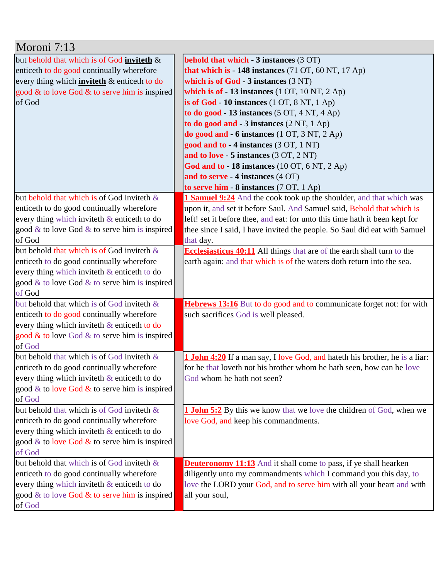| Moroni 7:13                                                                                 |                                                                                                     |
|---------------------------------------------------------------------------------------------|-----------------------------------------------------------------------------------------------------|
| but behold that which is of God inviteth &                                                  | <b>behold that which - 3 instances (3 OT)</b>                                                       |
| enticeth to do good continually wherefore                                                   | that which is - 148 instances (71 OT, 60 NT, 17 Ap)                                                 |
| every thing which <b>inviteth</b> & enticeth to do                                          | which is of God - 3 instances (3 NT)                                                                |
| good $\&$ to love God $\&$ to serve him is inspired                                         | which is of $-13$ instances $(1 OT, 10 NT, 2 Ap)$                                                   |
| of God                                                                                      | is of God $-10$ instances $(1 OT, 8 NT, 1 Ap)$                                                      |
|                                                                                             | to do good - 13 instances $(5 OT, 4 NT, 4 Ap)$                                                      |
|                                                                                             | to do good and - 3 instances (2 NT, 1 Ap)                                                           |
|                                                                                             | do good and - 6 instances (1 OT, 3 NT, 2 Ap)                                                        |
|                                                                                             | good and to - 4 instances (3 OT, 1 NT)                                                              |
|                                                                                             | and to love - 5 instances (3 OT, 2 NT)                                                              |
|                                                                                             | God and to - 18 instances (10 OT, 6 NT, 2 Ap)                                                       |
|                                                                                             | and to serve - 4 instances (4 OT)                                                                   |
|                                                                                             | to serve him - 8 instances (7 OT, 1 Ap)                                                             |
| but behold that which is of God inviteth &                                                  | 1 Samuel 9:24 And the cook took up the shoulder, and that which was                                 |
| enticeth to do good continually wherefore                                                   | upon it, and set it before Saul. And Samuel said, Behold that which is                              |
| every thing which inviteth & enticeth to do                                                 | left! set it before thee, and eat: for unto this time hath it been kept for                         |
| good $\&$ to love God $\&$ to serve him is inspired                                         | thee since I said, I have invited the people. So Saul did eat with Samuel                           |
| of God                                                                                      | that day.                                                                                           |
| but behold that which is of God inviteth &                                                  | Ecclesiasticus 40:11 All things that are of the earth shall turn to the                             |
| enticeth to do good continually wherefore                                                   | earth again: and that which is of the waters doth return into the sea.                              |
| every thing which inviteth & enticeth to do                                                 |                                                                                                     |
| good & to love God & to serve him is inspired                                               |                                                                                                     |
| of God                                                                                      |                                                                                                     |
| but behold that which is of God inviteth $\&$                                               | Hebrews 13:16 But to do good and to communicate forget not: for with                                |
| enticeth to do good continually wherefore                                                   | such sacrifices God is well pleased.                                                                |
| every thing which inviteth & enticeth to do                                                 |                                                                                                     |
| good $&$ to love God $&$ to serve him is inspired                                           |                                                                                                     |
| of God<br>but behold that which is of God inviteth &                                        |                                                                                                     |
|                                                                                             | <b>1 John 4:20</b> If a man say, I love God, and hateth his brother, he is a liar:                  |
| enticeth to do good continually wherefore<br>every thing which inviteth $\&$ enticeth to do | for he that loveth not his brother whom he hath seen, how can he love<br>God whom he hath not seen? |
| good & to love God $\&$ to serve him is inspired                                            |                                                                                                     |
| of God                                                                                      |                                                                                                     |
| but behold that which is of God inviteth &                                                  | <b>1 John 5:2</b> By this we know that we love the children of God, when we                         |
| enticeth to do good continually wherefore                                                   | love God, and keep his commandments.                                                                |
| every thing which inviteth $\&$ enticeth to do                                              |                                                                                                     |
| good & to love God & to serve him is inspired                                               |                                                                                                     |
| of God                                                                                      |                                                                                                     |
| but behold that which is of God inviteth $\&$                                               | <b>Deuteronomy 11:13</b> And it shall come to pass, if ye shall hearken                             |
| enticeth to do good continually wherefore                                                   | diligently unto my commandments which I command you this day, to                                    |
| every thing which inviteth & enticeth to do                                                 | love the LORD your God, and to serve him with all your heart and with                               |
| good $\&$ to love God $\&$ to serve him is inspired                                         | all your soul,                                                                                      |
| of God                                                                                      |                                                                                                     |